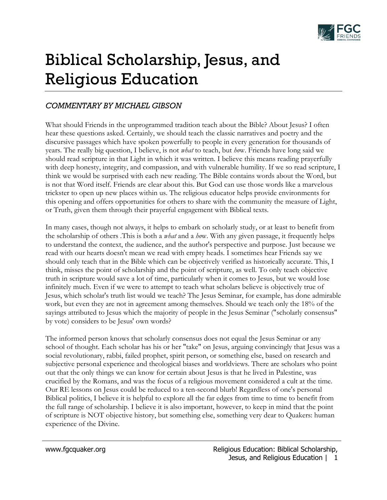

## Biblical Scholarship, Jesus, and Religious Education

## *COMMENTARY BY MICHAEL GIBSON*

What should Friends in the unprogrammed tradition teach about the Bible? About Jesus? I often hear these questions asked. Certainly, we should teach the classic narratives and poetry and the discursive passages which have spoken powerfully to people in every generation for thousands of years. The really big question, I believe, is not *what* to teach, but *ho*w. Friends have long said we should read scripture in that Light in which it was written. I believe this means reading prayerfully with deep honesty, integrity, and compassion, and with vulnerable humility. If we so read scripture, I think we would be surprised with each new reading. The Bible contains words about the Word, but is not that Word itself. Friends are clear about this. But God can use those words like a marvelous trickster to open up new places within us. The religious educator helps provide environments for this opening and offers opportunities for others to share with the community the measure of Light, or Truth, given them through their prayerful engagement with Biblical texts.

In many cases, though not always, it helps to embark on scholarly study, or at least to benefit from the scholarship of others .This is both a *what* and a *ho*w. With any given passage, it frequently helps to understand the context, the audience, and the author's perspective and purpose. Just because we read with our hearts doesn't mean we read with empty heads. I sometimes hear Friends say we should only teach that in the Bible which can be objectively verified as historically accurate. This, I think, misses the point of scholarship and the point of scripture, as well. To only teach objective truth in scripture would save a lot of time, particularly when it comes to Jesus, but we would lose infinitely much. Even if we were to attempt to teach what scholars believe is objectively true of Jesus, which scholar's truth list would we teach? The Jesus Seminar, for example, has done admirable work, but even they are not in agreement among themselves. Should we teach only the 18% of the sayings attributed to Jesus which the majority of people in the Jesus Seminar ("scholarly consensus" by vote) considers to be Jesus' own words?

The informed person knows that scholarly consensus does not equal the Jesus Seminar or any school of thought. Each scholar has his or her "take" on Jesus, arguing convincingly that Jesus was a social revolutionary, rabbi, failed prophet, spirit person, or something else, based on research and subjective personal experience and theological biases and worldviews. There are scholars who point out that the only things we can know for certain about Jesus is that he lived in Palestine, was crucified by the Romans, and was the focus of a religious movement considered a cult at the time. Our RE lessons on Jesus could be reduced to a ten-second blurb! Regardless of one's personal Biblical politics, I believe it is helpful to explore all the far edges from time to time to benefit from the full range of scholarship. I believe it is also important, however, to keep in mind that the point of scripture is NOT objective history, but something else, something very dear to Quakers: human experience of the Divine.